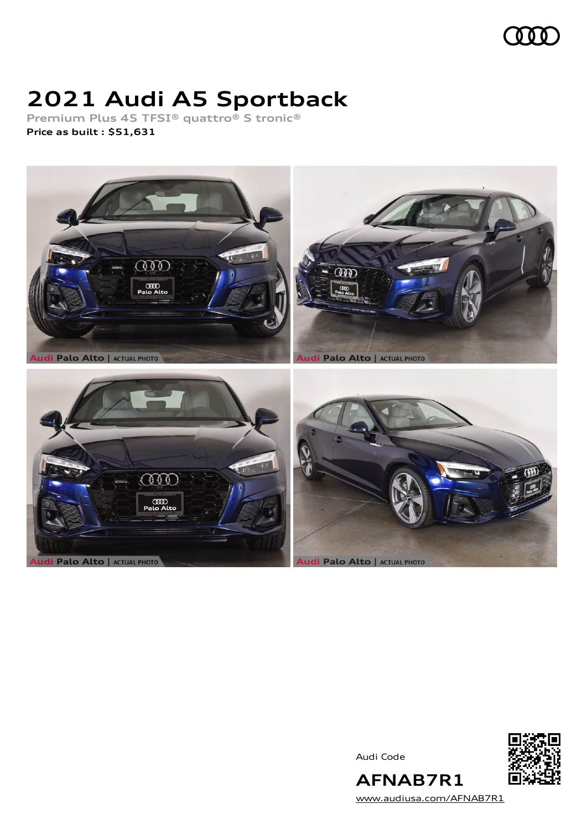

# **2021 Audi A5 Sportback**

**Premium Plus 45 TFSI® quattro® S tronic® Price as built [:](#page-8-0) \$51,631**



Audi Code



**AFNAB7R1** [www.audiusa.com/AFNAB7R1](https://www.audiusa.com/AFNAB7R1)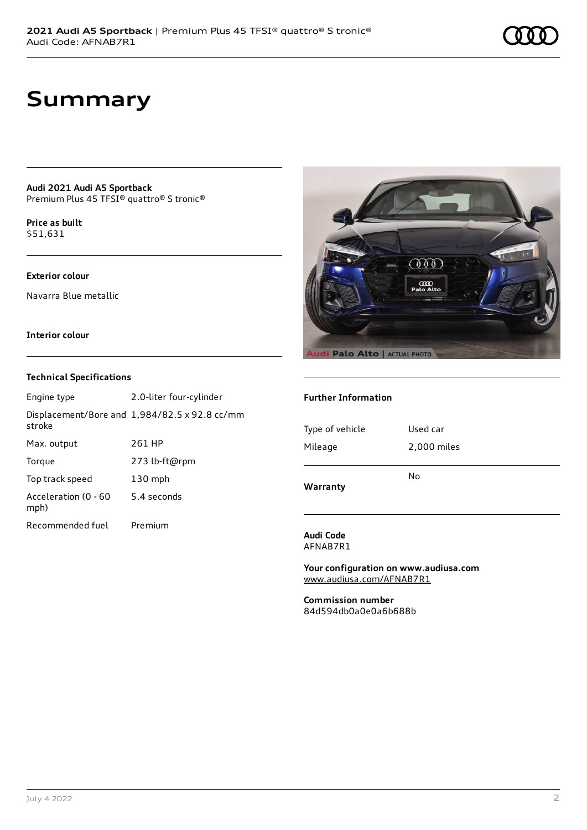## **Summary**

**Audi 2021 Audi A5 Sportback** Premium Plus 45 TFSI® quattro® S tronic®

**Price as buil[t](#page-8-0)** \$51,631

### **Exterior colour**

Navarra Blue metallic

### **Interior colour**

### **Technical Specifications**

| Engine type                  | 2.0-liter four-cylinder                       |
|------------------------------|-----------------------------------------------|
| stroke                       | Displacement/Bore and 1,984/82.5 x 92.8 cc/mm |
| Max. output                  | 261 HP                                        |
| Torque                       | 273 lb-ft@rpm                                 |
| Top track speed              | $130$ mph                                     |
| Acceleration (0 - 60<br>mph) | 5.4 seconds                                   |
| Recommended fuel             | Premium                                       |



### **Further Information**

| Warranty        | No          |  |
|-----------------|-------------|--|
| Mileage         | 2,000 miles |  |
| Type of vehicle | Used car    |  |
|                 |             |  |

**Audi Code** AFNAB7R1

**Your configuration on www.audiusa.com** [www.audiusa.com/AFNAB7R1](https://www.audiusa.com/AFNAB7R1)

**Commission number** 84d594db0a0e0a6b688b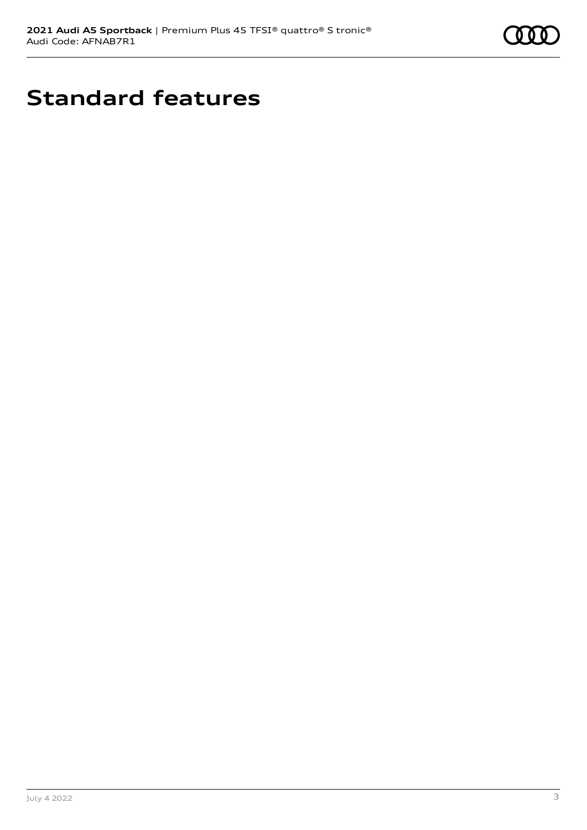

# **Standard features**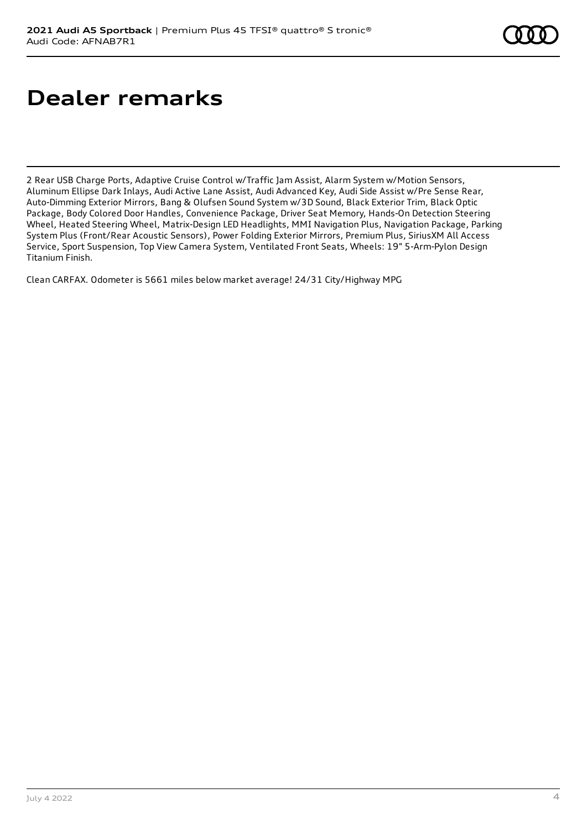# **Dealer remarks**

2 Rear USB Charge Ports, Adaptive Cruise Control w/Traffic Jam Assist, Alarm System w/Motion Sensors, Aluminum Ellipse Dark Inlays, Audi Active Lane Assist, Audi Advanced Key, Audi Side Assist w/Pre Sense Rear, Auto-Dimming Exterior Mirrors, Bang & Olufsen Sound System w/3D Sound, Black Exterior Trim, Black Optic Package, Body Colored Door Handles, Convenience Package, Driver Seat Memory, Hands-On Detection Steering Wheel, Heated Steering Wheel, Matrix-Design LED Headlights, MMI Navigation Plus, Navigation Package, Parking System Plus (Front/Rear Acoustic Sensors), Power Folding Exterior Mirrors, Premium Plus, SiriusXM All Access Service, Sport Suspension, Top View Camera System, Ventilated Front Seats, Wheels: 19" 5-Arm-Pylon Design Titanium Finish.

Clean CARFAX. Odometer is 5661 miles below market average! 24/31 City/Highway MPG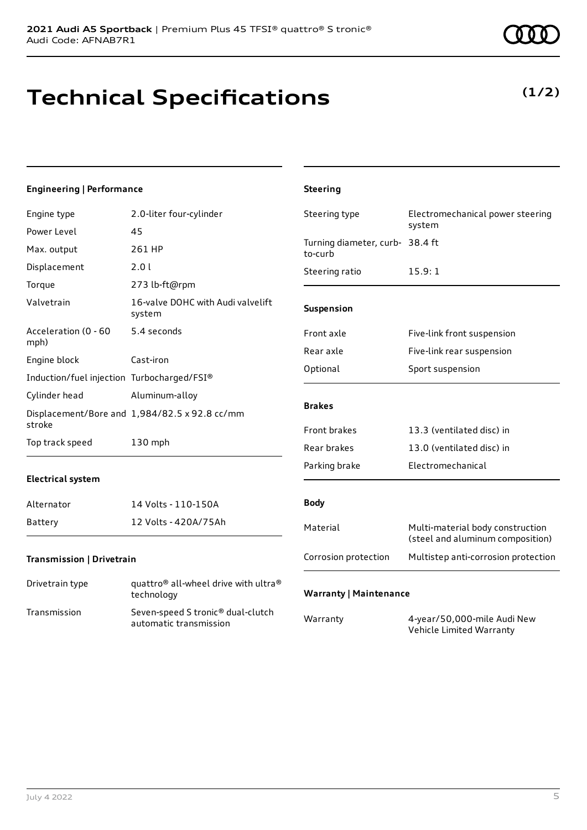## **Technical Specifications**

## **Engineering | Performance**

| Engine type                                | 2.0-liter four-cylinder                                                    | Steering type                              | Electromechanical power steering                                     |
|--------------------------------------------|----------------------------------------------------------------------------|--------------------------------------------|----------------------------------------------------------------------|
| Power Level                                | 45                                                                         |                                            | system                                                               |
| Max. output                                | 261 HP                                                                     | Turning diameter, curb- 38.4 ft<br>to-curb |                                                                      |
| Displacement                               | 2.0 l                                                                      | Steering ratio                             | 15.9:1                                                               |
| Torque                                     | 273 lb-ft@rpm                                                              |                                            |                                                                      |
| Valvetrain                                 | 16-valve DOHC with Audi valvelift<br>system                                | Suspension                                 |                                                                      |
| Acceleration (0 - 60<br>mph)               | 5.4 seconds                                                                | Front axle                                 | Five-link front suspension                                           |
| Engine block                               | Cast-iron                                                                  | Rear axle                                  | Five-link rear suspension                                            |
|                                            |                                                                            | Optional                                   | Sport suspension                                                     |
| Induction/fuel injection Turbocharged/FSI® |                                                                            |                                            |                                                                      |
| Cylinder head                              | Aluminum-alloy                                                             | <b>Brakes</b>                              |                                                                      |
| stroke                                     | Displacement/Bore and 1,984/82.5 x 92.8 cc/mm                              |                                            |                                                                      |
|                                            |                                                                            | Front brakes                               | 13.3 (ventilated disc) in                                            |
| Top track speed                            | 130 mph                                                                    | Rear brakes                                | 13.0 (ventilated disc) in                                            |
|                                            |                                                                            | Parking brake                              | Electromechanical                                                    |
| <b>Electrical system</b>                   |                                                                            |                                            |                                                                      |
| Alternator                                 | 14 Volts - 110-150A                                                        | <b>Body</b>                                |                                                                      |
| <b>Battery</b>                             | 12 Volts - 420A/75Ah                                                       | Material                                   | Multi-material body construction<br>(steel and aluminum composition) |
| Transmission   Drivetrain                  |                                                                            | Corrosion protection                       | Multistep anti-corrosion protection                                  |
| Drivetrain type                            | quattro <sup>®</sup> all-wheel drive with ultra <sup>®</sup><br>technology | <b>Warranty   Maintenance</b>              |                                                                      |
| Transmission                               | Seven-speed S tronic® dual-clutch<br>automatic transmission                | Warranty                                   | 4-year/50,000-mile Audi New                                          |

**Steering**

## **(1/2)**

Vehicle Limited Warranty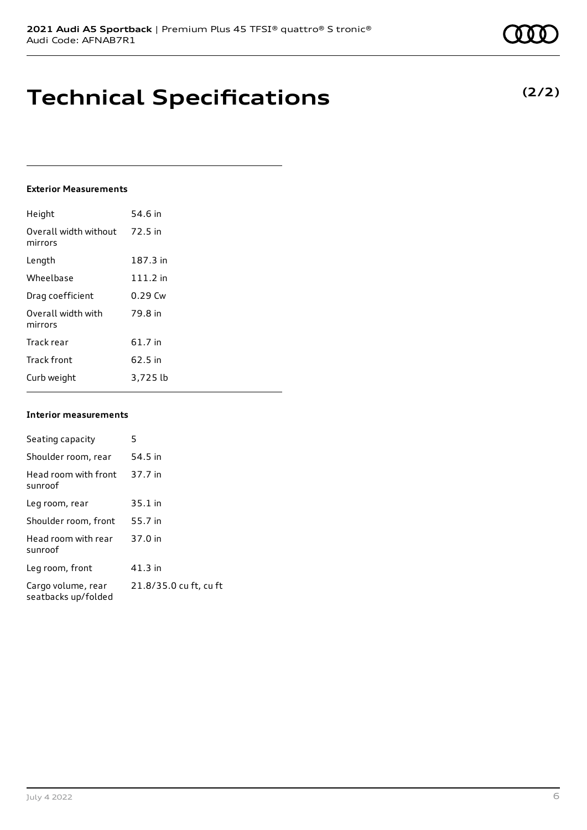## **Technical Specifications**

### **Exterior Measurements**

| Height                           | 54.6 in   |
|----------------------------------|-----------|
| Overall width without<br>mirrors | 72.5 in   |
| Length                           | 187.3 in  |
| Wheelbase                        | 111.2 in  |
| Drag coefficient                 | $0.29$ Cw |
| Overall width with<br>mirrors    | 79.8 in   |
| Track rear                       | 61.7 in   |
| <b>Track front</b>               | 62.5 in   |
| Curb weight                      | 3,725 lb  |

#### **Interior measurements**

| Seating capacity                          | 5                      |
|-------------------------------------------|------------------------|
| Shoulder room, rear                       | 54.5 in                |
| Head room with front<br>sunroof           | 37.7 in                |
| Leg room, rear                            | $35.1$ in              |
| Shoulder room, front                      | 55.7 in                |
| Head room with rear<br>sunroof            | 37.0 in                |
| Leg room, front                           | $41.3$ in              |
| Cargo volume, rear<br>seatbacks up/folded | 21.8/35.0 cu ft, cu ft |

## **(2/2)**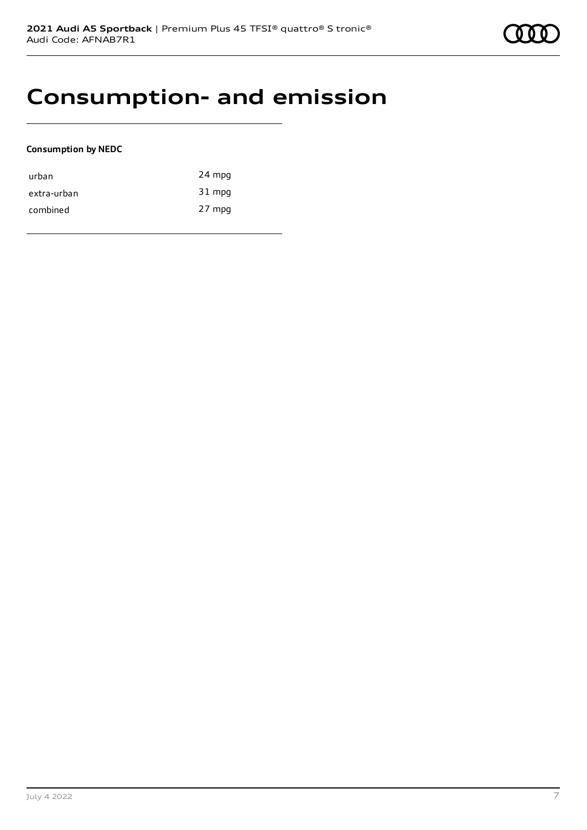## **Consumption- and emission**

### **Consumption by NEDC**

| urban       | 24 mpg |
|-------------|--------|
| extra-urban | 31 mpg |
| combined    | 27 mpg |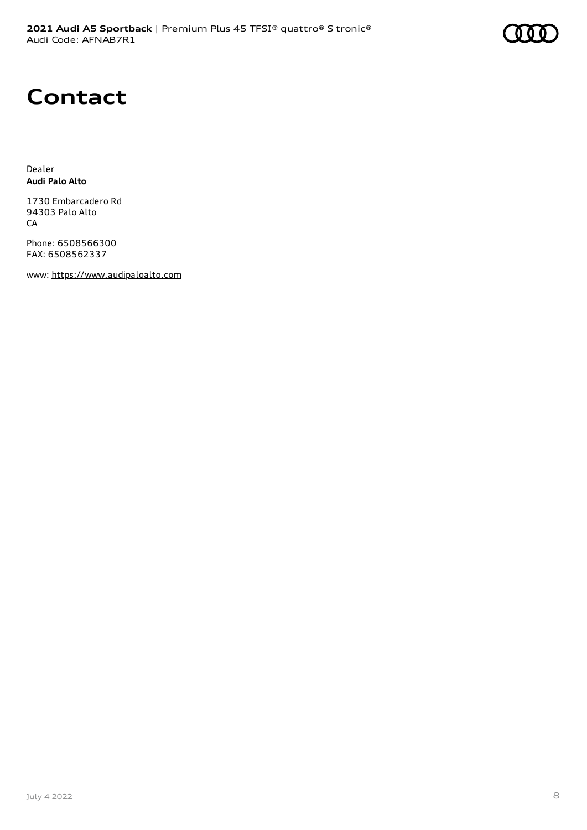## **Contact**

Dealer **Audi Palo Alto**

1730 Embarcadero Rd 94303 Palo Alto CA

Phone: 6508566300 FAX: 6508562337

www: [https://www.audipaloalto.com](https://www.audipaloalto.com/)